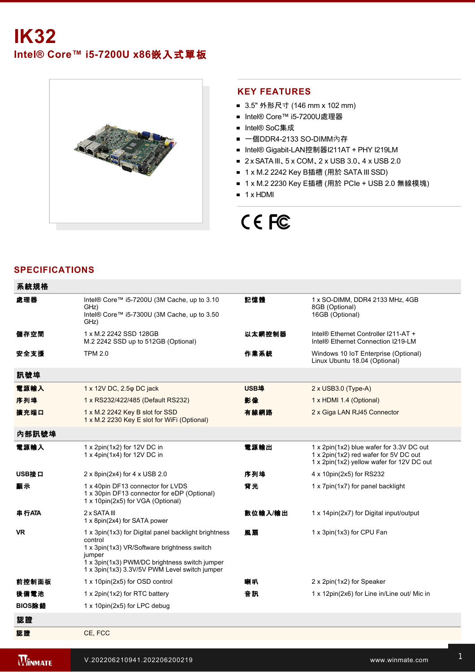# **IK32 Intel® Core™ i57200U x86**嵌入式單板



### **KEY FEATURES**

- 3.5" 外形尺寸 (146 mm x 102 mm)
- Intel® Core™ i5-7200U處理器
- Intel® SoC集成
- 一個DDR4-2133 SO-DIMM內存
- Intel® Gigabit-LAN控制器I211AT + PHY I219LM
- 2 x SATA III、5 x COM、2 x USB 3.0、4 x USB 2.0
- 1 x M.2 2242 Kev B插槽 (用於 SATA III SSD)
- 1 x M.2 2230 Key E插槽 (用於 PCIe + USB 2.0 無線模塊)
- $\blacksquare$  1 x HDMI

# CE FC

# **SPECIFICATIONS**

| 系統規格      |                                                                                                                                                                                                                            |         |                                                                                                                                |
|-----------|----------------------------------------------------------------------------------------------------------------------------------------------------------------------------------------------------------------------------|---------|--------------------------------------------------------------------------------------------------------------------------------|
| 處理器       | Intel® Core™ i5-7200U (3M Cache, up to 3.10<br>GHz)<br>Intel® Core™ i5-7300U (3M Cache, up to 3.50<br>GHz)                                                                                                                 | 記憶體     | 1 x SO-DIMM, DDR4 2133 MHz, 4GB<br>8GB (Optional)<br>16GB (Optional)                                                           |
| 儲存空間      | 1 x M.2 2242 SSD 128GB<br>M.2 2242 SSD up to 512GB (Optional)                                                                                                                                                              | 以太網控制器  | Intel® Ethernet Controller I211-AT +<br>Intel® Ethernet Connection I219-LM                                                     |
| 安全支援      | <b>TPM 2.0</b>                                                                                                                                                                                                             | 作業系統    | Windows 10 IoT Enterprise (Optional)<br>Linux Ubuntu 18.04 (Optional)                                                          |
| 訊號埠       |                                                                                                                                                                                                                            |         |                                                                                                                                |
| 電源輸入      | 1 x 12V DC, 2.5 $\phi$ DC jack                                                                                                                                                                                             | USB埠    | $2 \times$ USB3.0 (Type-A)                                                                                                     |
| 序列埠       | 1 x RS232/422/485 (Default RS232)                                                                                                                                                                                          | 影像      | 1 x HDMI 1.4 (Optional)                                                                                                        |
| 擴充端口      | 1 x M.2 2242 Key B slot for SSD<br>1 x M.2 2230 Key E slot for WiFi (Optional)                                                                                                                                             | 有線網路    | 2 x Giga LAN RJ45 Connector                                                                                                    |
| 內部訊號埠     |                                                                                                                                                                                                                            |         |                                                                                                                                |
| 電源輸入      | 1 x 2pin(1x2) for 12V DC in<br>1 x 4pin(1x4) for 12V DC in                                                                                                                                                                 | 電源輸出    | 1 x 2pin(1x2) blue wafer for 3.3V DC out<br>1 x 2pin(1x2) red wafer for 5V DC out<br>1 x 2pin(1x2) yellow wafer for 12V DC out |
| USB接口     | 2 x 8pin(2x4) for 4 x USB 2.0                                                                                                                                                                                              | 序列埠     | 4 x 10pin(2x5) for RS232                                                                                                       |
| 显示        | 1 x 40pin DF13 connector for LVDS<br>1 x 30pin DF13 connector for eDP (Optional)<br>1 x 10pin(2x5) for VGA (Optional)                                                                                                      | 背光      | 1 x 7pin(1x7) for panel backlight                                                                                              |
| 串行ATA     | 2 x SATA III<br>1 x 8pin(2x4) for SATA power                                                                                                                                                                               | 數位輸入/輸出 | 1 x 14pin(2x7) for Digital input/output                                                                                        |
| <b>VR</b> | 1 x 3pin(1x3) for Digital panel backlight brightness<br>control<br>1 x 3pin(1x3) VR/Software brightness switch<br>jumper<br>1 x 3pin(1x3) PWM/DC brightness switch jumper<br>1 x 3pin(1x3) 3.3V/5V PWM Level switch jumper | 風扇      | 1 x 3pin(1x3) for CPU Fan                                                                                                      |
| 前控制面板     | 1 x 10pin(2x5) for OSD control                                                                                                                                                                                             | 喇叭      | 2 x 2pin(1x2) for Speaker                                                                                                      |
| 後備電池      | 1 x 2pin(1x2) for RTC battery                                                                                                                                                                                              | 音訊      | 1 x 12pin(2x6) for Line in/Line out/ Mic in                                                                                    |
| BIOS除錯    | 1 x 10pin(2x5) for LPC debug                                                                                                                                                                                               |         |                                                                                                                                |
| 認證        |                                                                                                                                                                                                                            |         |                                                                                                                                |
| 認證        | CE, FCC                                                                                                                                                                                                                    |         |                                                                                                                                |
|           |                                                                                                                                                                                                                            |         |                                                                                                                                |